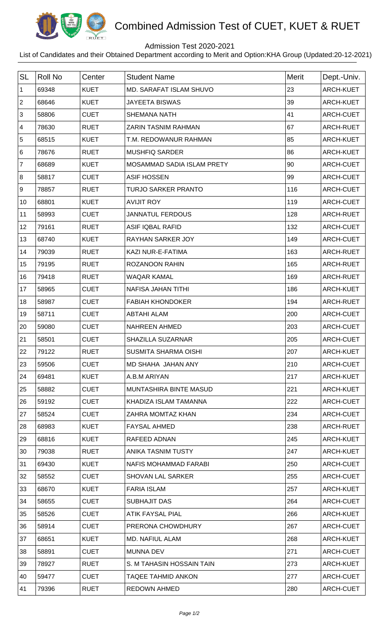

## Combined Admission Test of CUET, KUET & RUET

## Admission Test 2020-2021

List of Candidates and their Obtained Department according to Merit and Option:KHA Group (Updated:20-12-2021)

| <b>SL</b>      | <b>Roll No</b> | Center      | <b>Student Name</b>            | <b>Merit</b> | Dept.-Univ.      |
|----------------|----------------|-------------|--------------------------------|--------------|------------------|
| $\mathbf 1$    | 69348          | <b>KUET</b> | <b>MD. SARAFAT ISLAM SHUVO</b> | 23           | <b>ARCH-KUET</b> |
| 2              | 68646          | <b>KUET</b> | <b>JAYEETA BISWAS</b>          | 39           | ARCH-KUET        |
| 3              | 58806          | <b>CUET</b> | <b>SHEMANA NATH</b>            | 41           | ARCH-CUET        |
| 4              | 78630          | <b>RUET</b> | <b>ZARIN TASNIM RAHMAN</b>     | 67           | <b>ARCH-RUET</b> |
| 5              | 68515          | <b>KUET</b> | T.M. REDOWANUR RAHMAN          | 85           | ARCH-KUET        |
| 6              | 78676          | <b>RUET</b> | <b>MUSHFIQ SARDER</b>          | 86           | ARCH-KUET        |
| $\overline{7}$ | 68689          | <b>KUET</b> | MOSAMMAD SADIA ISLAM PRETY     | 90           | ARCH-CUET        |
| 8              | 58817          | <b>CUET</b> | <b>ASIF HOSSEN</b>             | 99           | ARCH-CUET        |
| 9              | 78857          | <b>RUET</b> | <b>TURJO SARKER PRANTO</b>     | 116          | ARCH-CUET        |
| 10             | 68801          | <b>KUET</b> | <b>AVIJIT ROY</b>              | 119          | ARCH-CUET        |
| 11             | 58993          | <b>CUET</b> | <b>JANNATUL FERDOUS</b>        | 128          | ARCH-RUET        |
| 12             | 79161          | <b>RUET</b> | <b>ASIF IQBAL RAFID</b>        | 132          | ARCH-CUET        |
| 13             | 68740          | <b>KUET</b> | <b>RAYHAN SARKER JOY</b>       | 149          | ARCH-CUET        |
| 14             | 79039          | <b>RUET</b> | KAZI NUR-E-FATIMA              | 163          | ARCH-RUET        |
| 15             | 79195          | <b>RUET</b> | <b>ROZANOON RAHIN</b>          | 165          | ARCH-RUET        |
| 16             | 79418          | <b>RUET</b> | <b>WAQAR KAMAL</b>             | 169          | ARCH-RUET        |
| 17             | 58965          | <b>CUET</b> | <b>NAFISA JAHAN TITHI</b>      | 186          | <b>ARCH-KUET</b> |
| 18             | 58987          | <b>CUET</b> | <b>FABIAH KHONDOKER</b>        | 194          | ARCH-RUET        |
| 19             | 58711          | <b>CUET</b> | <b>ABTAHI ALAM</b>             | 200          | ARCH-CUET        |
| 20             | 59080          | <b>CUET</b> | <b>NAHREEN AHMED</b>           | 203          | ARCH-CUET        |
| 21             | 58501          | <b>CUET</b> | <b>SHAZILLA SUZARNAR</b>       | 205          | ARCH-CUET        |
| 22             | 79122          | <b>RUET</b> | <b>SUSMITA SHARMA OISHI</b>    | 207          | ARCH-KUET        |
| 23             | 59506          | <b>CUET</b> | MD SHAHA JAHAN ANY             | 210          | ARCH-CUET        |
| 24             | 69481          | <b>KUET</b> | A.B.M ARIYAN                   | 217          | ARCH-KUET        |
| 25             | 58882          | <b>CUET</b> | MUNTASHIRA BINTE MASUD         | 221          | ARCH-KUET        |
| 26             | 59192          | <b>CUET</b> | KHADIZA ISLAM TAMANNA          | 222          | ARCH-CUET        |
| 27             | 58524          | <b>CUET</b> | ZAHRA MOMTAZ KHAN              | 234          | ARCH-CUET        |
| 28             | 68983          | <b>KUET</b> | <b>FAYSAL AHMED</b>            | 238          | ARCH-RUET        |
| 29             | 68816          | <b>KUET</b> | RAFEED ADNAN                   | 245          | ARCH-KUET        |
| 30             | 79038          | <b>RUET</b> | ANIKA TASNIM TUSTY             | 247          | ARCH-KUET        |
| 31             | 69430          | <b>KUET</b> | NAFIS MOHAMMAD FARABI          | 250          | ARCH-CUET        |
| 32             | 58552          | <b>CUET</b> | <b>SHOVAN LAL SARKER</b>       | 255          | ARCH-CUET        |
| 33             | 68670          | <b>KUET</b> | <b>FARIA ISLAM</b>             | 257          | ARCH-KUET        |
| 34             | 58655          | <b>CUET</b> | <b>SUBHAJIT DAS</b>            | 264          | ARCH-CUET        |
| 35             | 58526          | <b>CUET</b> | ATIK FAYSAL PIAL               | 266          | ARCH-KUET        |
| 36             | 58914          | <b>CUET</b> | PRERONA CHOWDHURY              | 267          | ARCH-CUET        |
| 37             | 68651          | <b>KUET</b> | MD. NAFIUL ALAM                | 268          | ARCH-KUET        |
| 38             | 58891          | <b>CUET</b> | <b>MUNNA DEV</b>               | 271          | ARCH-CUET        |
| 39             | 78927          | <b>RUET</b> | S. M TAHASIN HOSSAIN TAIN      | 273          | ARCH-KUET        |
| 40             | 59477          | <b>CUET</b> | TAQEE TAHMID ANKON             | 277          | ARCH-CUET        |
| 41             | 79396          | <b>RUET</b> | <b>REDOWN AHMED</b>            | 280          | ARCH-CUET        |